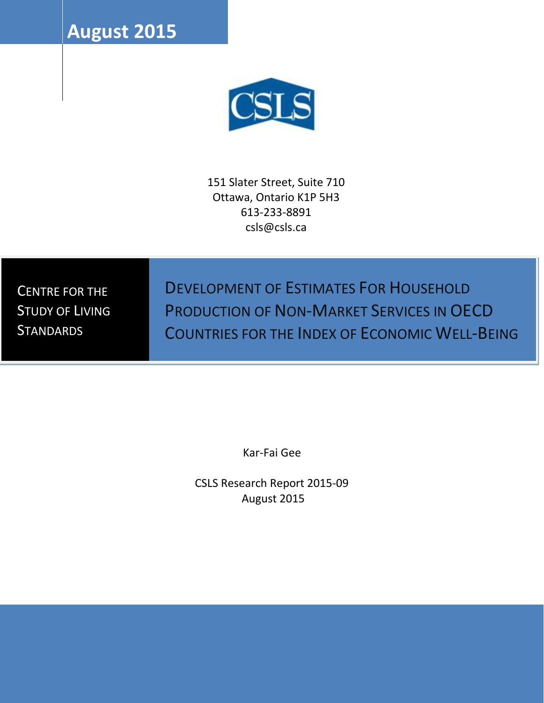**August 2015**



151 Slater Street, Suite 710 Ottawa, Ontario K1P 5H3 613-233-8891 csls@csls.ca

CENTRE FOR THE STUDY OF LIVING **STANDARDS** 

DEVELOPMENT OF ESTIMATES FOR HOUSEHOLD PRODUCTION OF NON-MARKET SERVICES IN OECD COUNTRIES FOR THE INDEX OF ECONOMIC WELL-BEING

Kar-Fai Gee

CSLS Research Report 2015-09 August 2015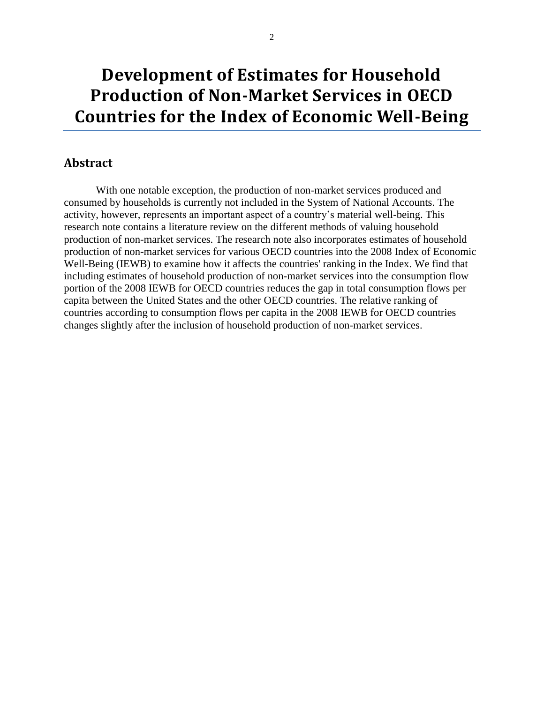# **Development of Estimates for Household Production of Non-Market Services in OECD Countries for the Index of Economic Well-Being**

### **Abstract**

With one notable exception, the production of non-market services produced and consumed by households is currently not included in the System of National Accounts. The activity, however, represents an important aspect of a country's material well-being. This research note contains a literature review on the different methods of valuing household production of non-market services. The research note also incorporates estimates of household production of non-market services for various OECD countries into the 2008 Index of Economic Well-Being (IEWB) to examine how it affects the countries' ranking in the Index. We find that including estimates of household production of non-market services into the consumption flow portion of the 2008 IEWB for OECD countries reduces the gap in total consumption flows per capita between the United States and the other OECD countries. The relative ranking of countries according to consumption flows per capita in the 2008 IEWB for OECD countries changes slightly after the inclusion of household production of non-market services.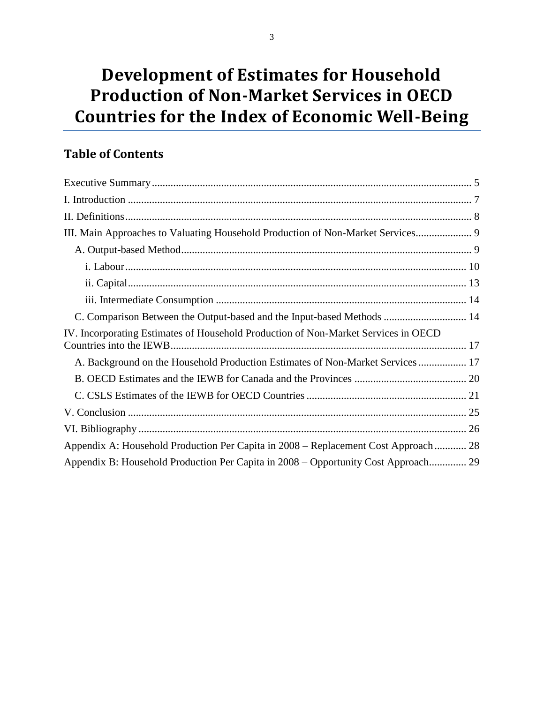# **Development of Estimates for Household Production of Non-Market Services in OECD Countries for the Index of Economic Well-Being**

# **Table of Contents**

| III. Main Approaches to Valuating Household Production of Non-Market Services       |
|-------------------------------------------------------------------------------------|
|                                                                                     |
|                                                                                     |
|                                                                                     |
|                                                                                     |
| C. Comparison Between the Output-based and the Input-based Methods  14              |
| IV. Incorporating Estimates of Household Production of Non-Market Services in OECD  |
| A. Background on the Household Production Estimates of Non-Market Services  17      |
|                                                                                     |
|                                                                                     |
|                                                                                     |
|                                                                                     |
| Appendix A: Household Production Per Capita in 2008 – Replacement Cost Approach  28 |
| Appendix B: Household Production Per Capita in 2008 – Opportunity Cost Approach 29  |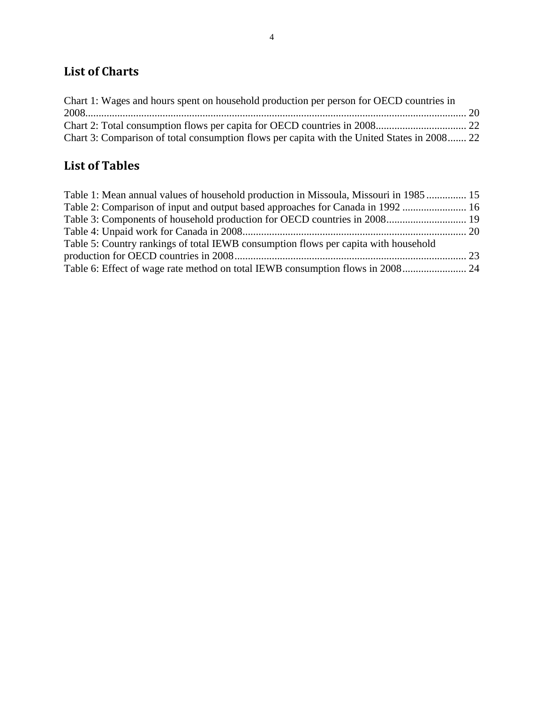# **List of Charts**

| Chart 1: Wages and hours spent on household production per person for OECD countries in     |  |
|---------------------------------------------------------------------------------------------|--|
|                                                                                             |  |
|                                                                                             |  |
| Chart 3: Comparison of total consumption flows per capita with the United States in 2008 22 |  |

# **List of Tables**

| Table 1: Mean annual values of household production in Missoula, Missouri in 1985 15 |  |
|--------------------------------------------------------------------------------------|--|
| Table 2: Comparison of input and output based approaches for Canada in 1992  16      |  |
| Table 3: Components of household production for OECD countries in 2008 19            |  |
|                                                                                      |  |
| Table 5: Country rankings of total IEWB consumption flows per capita with household  |  |
|                                                                                      |  |
|                                                                                      |  |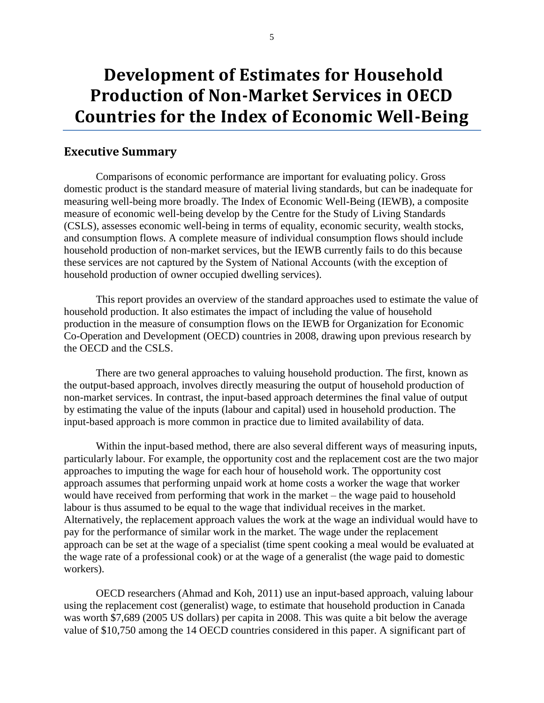# **Development of Estimates for Household Production of Non-Market Services in OECD Countries for the Index of Economic Well-Being**

#### <span id="page-4-0"></span>**Executive Summary**

Comparisons of economic performance are important for evaluating policy. Gross domestic product is the standard measure of material living standards, but can be inadequate for measuring well-being more broadly. The Index of Economic Well-Being (IEWB), a composite measure of economic well-being develop by the Centre for the Study of Living Standards (CSLS), assesses economic well-being in terms of equality, economic security, wealth stocks, and consumption flows. A complete measure of individual consumption flows should include household production of non-market services, but the IEWB currently fails to do this because these services are not captured by the System of National Accounts (with the exception of household production of owner occupied dwelling services).

This report provides an overview of the standard approaches used to estimate the value of household production. It also estimates the impact of including the value of household production in the measure of consumption flows on the IEWB for Organization for Economic Co-Operation and Development (OECD) countries in 2008, drawing upon previous research by the OECD and the CSLS.

There are two general approaches to valuing household production. The first, known as the output-based approach, involves directly measuring the output of household production of non-market services. In contrast, the input-based approach determines the final value of output by estimating the value of the inputs (labour and capital) used in household production. The input-based approach is more common in practice due to limited availability of data.

Within the input-based method, there are also several different ways of measuring inputs, particularly labour. For example, the opportunity cost and the replacement cost are the two major approaches to imputing the wage for each hour of household work. The opportunity cost approach assumes that performing unpaid work at home costs a worker the wage that worker would have received from performing that work in the market – the wage paid to household labour is thus assumed to be equal to the wage that individual receives in the market. Alternatively, the replacement approach values the work at the wage an individual would have to pay for the performance of similar work in the market. The wage under the replacement approach can be set at the wage of a specialist (time spent cooking a meal would be evaluated at the wage rate of a professional cook) or at the wage of a generalist (the wage paid to domestic workers).

OECD researchers (Ahmad and Koh, 2011) use an input-based approach, valuing labour using the replacement cost (generalist) wage, to estimate that household production in Canada was worth \$7,689 (2005 US dollars) per capita in 2008. This was quite a bit below the average value of \$10,750 among the 14 OECD countries considered in this paper. A significant part of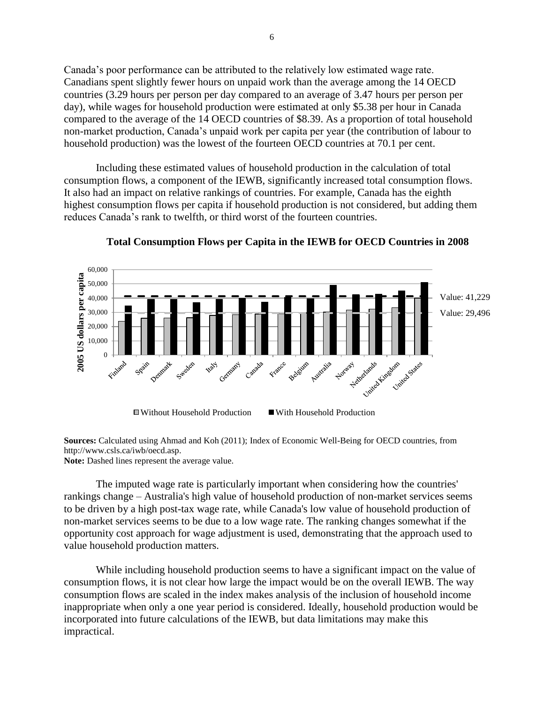Canada's poor performance can be attributed to the relatively low estimated wage rate. Canadians spent slightly fewer hours on unpaid work than the average among the 14 OECD countries (3.29 hours per person per day compared to an average of 3.47 hours per person per day), while wages for household production were estimated at only \$5.38 per hour in Canada compared to the average of the 14 OECD countries of \$8.39. As a proportion of total household non-market production, Canada's unpaid work per capita per year (the contribution of labour to household production) was the lowest of the fourteen OECD countries at 70.1 per cent.

Including these estimated values of household production in the calculation of total consumption flows, a component of the IEWB, significantly increased total consumption flows. It also had an impact on relative rankings of countries. For example, Canada has the eighth highest consumption flows per capita if household production is not considered, but adding them reduces Canada's rank to twelfth, or third worst of the fourteen countries.



**Total Consumption Flows per Capita in the IEWB for OECD Countries in 2008**

**Sources:** Calculated using Ahmad and Koh (2011); Index of Economic Well-Being for OECD countries, from http://www.csls.ca/iwb/oecd.asp.

**Note:** Dashed lines represent the average value.

The imputed wage rate is particularly important when considering how the countries' rankings change – Australia's high value of household production of non-market services seems to be driven by a high post-tax wage rate, while Canada's low value of household production of non-market services seems to be due to a low wage rate. The ranking changes somewhat if the opportunity cost approach for wage adjustment is used, demonstrating that the approach used to value household production matters.

While including household production seems to have a significant impact on the value of consumption flows, it is not clear how large the impact would be on the overall IEWB. The way consumption flows are scaled in the index makes analysis of the inclusion of household income inappropriate when only a one year period is considered. Ideally, household production would be incorporated into future calculations of the IEWB, but data limitations may make this impractical.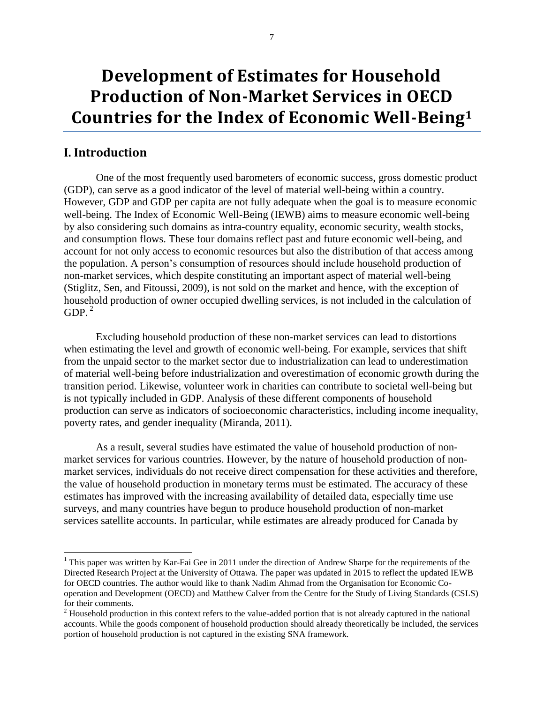# **Development of Estimates for Household Production of Non-Market Services in OECD Countries for the Index of Economic Well-Being<sup>1</sup>**

## <span id="page-6-0"></span>**I. Introduction**

 $\overline{a}$ 

One of the most frequently used barometers of economic success, gross domestic product (GDP), can serve as a good indicator of the level of material well-being within a country. However, GDP and GDP per capita are not fully adequate when the goal is to measure economic well-being. The Index of Economic Well-Being (IEWB) aims to measure economic well-being by also considering such domains as intra-country equality, economic security, wealth stocks, and consumption flows. These four domains reflect past and future economic well-being, and account for not only access to economic resources but also the distribution of that access among the population. A person's consumption of resources should include household production of non-market services, which despite constituting an important aspect of material well-being (Stiglitz, Sen, and Fitoussi, 2009), is not sold on the market and hence, with the exception of household production of owner occupied dwelling services, is not included in the calculation of  $GDP.<sup>2</sup>$ 

Excluding household production of these non-market services can lead to distortions when estimating the level and growth of economic well-being. For example, services that shift from the unpaid sector to the market sector due to industrialization can lead to underestimation of material well-being before industrialization and overestimation of economic growth during the transition period. Likewise, volunteer work in charities can contribute to societal well-being but is not typically included in GDP. Analysis of these different components of household production can serve as indicators of socioeconomic characteristics, including income inequality, poverty rates, and gender inequality (Miranda, 2011).

As a result, several studies have estimated the value of household production of nonmarket services for various countries. However, by the nature of household production of nonmarket services, individuals do not receive direct compensation for these activities and therefore, the value of household production in monetary terms must be estimated. The accuracy of these estimates has improved with the increasing availability of detailed data, especially time use surveys, and many countries have begun to produce household production of non-market services satellite accounts. In particular, while estimates are already produced for Canada by

<sup>&</sup>lt;sup>1</sup> This paper was written by Kar-Fai Gee in 2011 under the direction of Andrew Sharpe for the requirements of the Directed Research Project at the University of Ottawa. The paper was updated in 2015 to reflect the updated IEWB for OECD countries. The author would like to thank Nadim Ahmad from the Organisation for Economic Cooperation and Development (OECD) and Matthew Calver from the Centre for the Study of Living Standards (CSLS) for their comments.

 $2$  Household production in this context refers to the value-added portion that is not already captured in the national accounts. While the goods component of household production should already theoretically be included, the services portion of household production is not captured in the existing SNA framework.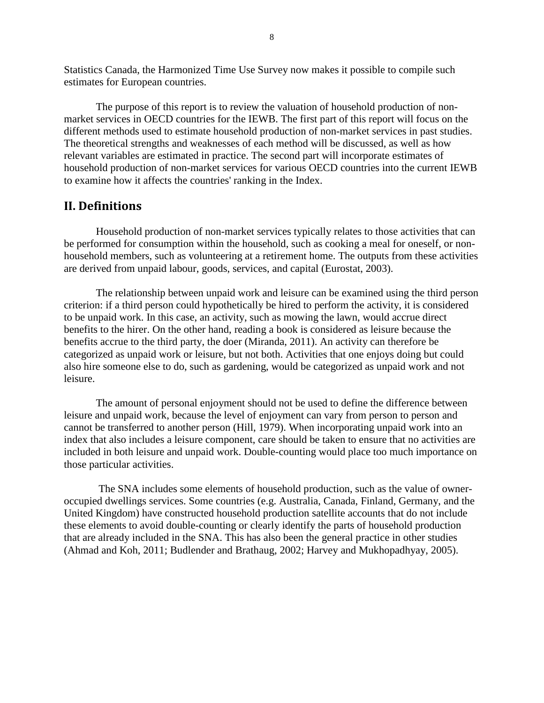Statistics Canada, the Harmonized Time Use Survey now makes it possible to compile such estimates for European countries.

The purpose of this report is to review the valuation of household production of nonmarket services in OECD countries for the IEWB. The first part of this report will focus on the different methods used to estimate household production of non-market services in past studies. The theoretical strengths and weaknesses of each method will be discussed, as well as how relevant variables are estimated in practice. The second part will incorporate estimates of household production of non-market services for various OECD countries into the current IEWB to examine how it affects the countries' ranking in the Index.

### <span id="page-7-0"></span>**II. Definitions**

Household production of non-market services typically relates to those activities that can be performed for consumption within the household, such as cooking a meal for oneself, or nonhousehold members, such as volunteering at a retirement home. The outputs from these activities are derived from unpaid labour, goods, services, and capital (Eurostat, 2003).

The relationship between unpaid work and leisure can be examined using the third person criterion: if a third person could hypothetically be hired to perform the activity, it is considered to be unpaid work. In this case, an activity, such as mowing the lawn, would accrue direct benefits to the hirer. On the other hand, reading a book is considered as leisure because the benefits accrue to the third party, the doer (Miranda, 2011). An activity can therefore be categorized as unpaid work or leisure, but not both. Activities that one enjoys doing but could also hire someone else to do, such as gardening, would be categorized as unpaid work and not leisure.

The amount of personal enjoyment should not be used to define the difference between leisure and unpaid work, because the level of enjoyment can vary from person to person and cannot be transferred to another person (Hill, 1979). When incorporating unpaid work into an index that also includes a leisure component, care should be taken to ensure that no activities are included in both leisure and unpaid work. Double-counting would place too much importance on those particular activities.

The SNA includes some elements of household production, such as the value of owneroccupied dwellings services. Some countries (e.g. Australia, Canada, Finland, Germany, and the United Kingdom) have constructed household production satellite accounts that do not include these elements to avoid double-counting or clearly identify the parts of household production that are already included in the SNA. This has also been the general practice in other studies (Ahmad and Koh, 2011; Budlender and Brathaug, 2002; Harvey and Mukhopadhyay, 2005).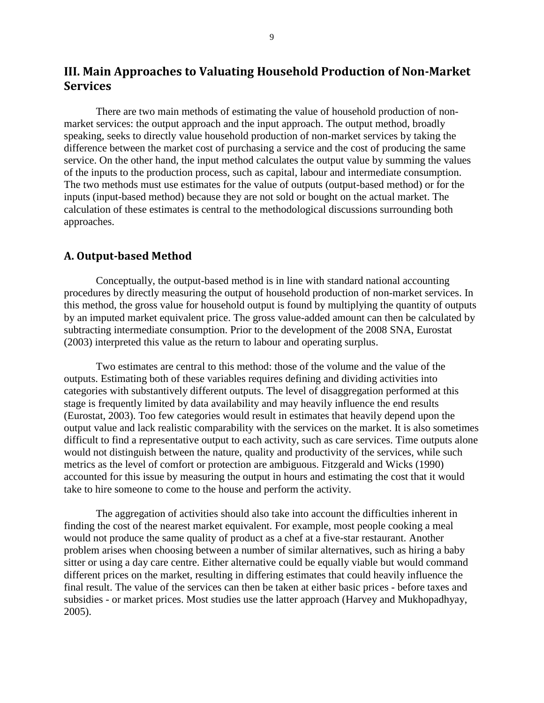# <span id="page-8-0"></span>**III. Main Approaches to Valuating Household Production of Non-Market Services**

There are two main methods of estimating the value of household production of nonmarket services: the output approach and the input approach. The output method, broadly speaking, seeks to directly value household production of non-market services by taking the difference between the market cost of purchasing a service and the cost of producing the same service. On the other hand, the input method calculates the output value by summing the values of the inputs to the production process, such as capital, labour and intermediate consumption. The two methods must use estimates for the value of outputs (output-based method) or for the inputs (input-based method) because they are not sold or bought on the actual market. The calculation of these estimates is central to the methodological discussions surrounding both approaches.

#### <span id="page-8-1"></span>**A. Output-based Method**

Conceptually, the output-based method is in line with standard national accounting procedures by directly measuring the output of household production of non-market services. In this method, the gross value for household output is found by multiplying the quantity of outputs by an imputed market equivalent price. The gross value-added amount can then be calculated by subtracting intermediate consumption. Prior to the development of the 2008 SNA, Eurostat (2003) interpreted this value as the return to labour and operating surplus.

Two estimates are central to this method: those of the volume and the value of the outputs. Estimating both of these variables requires defining and dividing activities into categories with substantively different outputs. The level of disaggregation performed at this stage is frequently limited by data availability and may heavily influence the end results (Eurostat, 2003). Too few categories would result in estimates that heavily depend upon the output value and lack realistic comparability with the services on the market. It is also sometimes difficult to find a representative output to each activity, such as care services. Time outputs alone would not distinguish between the nature, quality and productivity of the services, while such metrics as the level of comfort or protection are ambiguous. Fitzgerald and Wicks (1990) accounted for this issue by measuring the output in hours and estimating the cost that it would take to hire someone to come to the house and perform the activity.

The aggregation of activities should also take into account the difficulties inherent in finding the cost of the nearest market equivalent. For example, most people cooking a meal would not produce the same quality of product as a chef at a five-star restaurant. Another problem arises when choosing between a number of similar alternatives, such as hiring a baby sitter or using a day care centre. Either alternative could be equally viable but would command different prices on the market, resulting in differing estimates that could heavily influence the final result. The value of the services can then be taken at either basic prices - before taxes and subsidies - or market prices. Most studies use the latter approach (Harvey and Mukhopadhyay, 2005).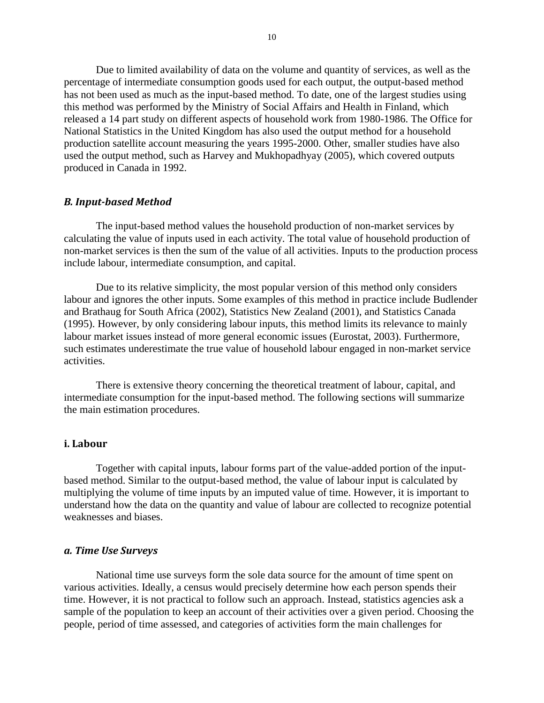Due to limited availability of data on the volume and quantity of services, as well as the percentage of intermediate consumption goods used for each output, the output-based method has not been used as much as the input-based method. To date, one of the largest studies using this method was performed by the Ministry of Social Affairs and Health in Finland, which released a 14 part study on different aspects of household work from 1980-1986. The Office for National Statistics in the United Kingdom has also used the output method for a household production satellite account measuring the years 1995-2000. Other, smaller studies have also used the output method, such as Harvey and Mukhopadhyay (2005), which covered outputs produced in Canada in 1992.

#### *B. Input-based Method*

The input-based method values the household production of non-market services by calculating the value of inputs used in each activity. The total value of household production of non-market services is then the sum of the value of all activities. Inputs to the production process include labour, intermediate consumption, and capital.

Due to its relative simplicity, the most popular version of this method only considers labour and ignores the other inputs. Some examples of this method in practice include Budlender and Brathaug for South Africa (2002), Statistics New Zealand (2001), and Statistics Canada (1995). However, by only considering labour inputs, this method limits its relevance to mainly labour market issues instead of more general economic issues (Eurostat, 2003). Furthermore, such estimates underestimate the true value of household labour engaged in non-market service activities.

There is extensive theory concerning the theoretical treatment of labour, capital, and intermediate consumption for the input-based method. The following sections will summarize the main estimation procedures.

#### <span id="page-9-0"></span>**i. Labour**

Together with capital inputs, labour forms part of the value-added portion of the inputbased method. Similar to the output-based method, the value of labour input is calculated by multiplying the volume of time inputs by an imputed value of time. However, it is important to understand how the data on the quantity and value of labour are collected to recognize potential weaknesses and biases.

#### *a. Time Use Surveys*

National time use surveys form the sole data source for the amount of time spent on various activities. Ideally, a census would precisely determine how each person spends their time. However, it is not practical to follow such an approach. Instead, statistics agencies ask a sample of the population to keep an account of their activities over a given period. Choosing the people, period of time assessed, and categories of activities form the main challenges for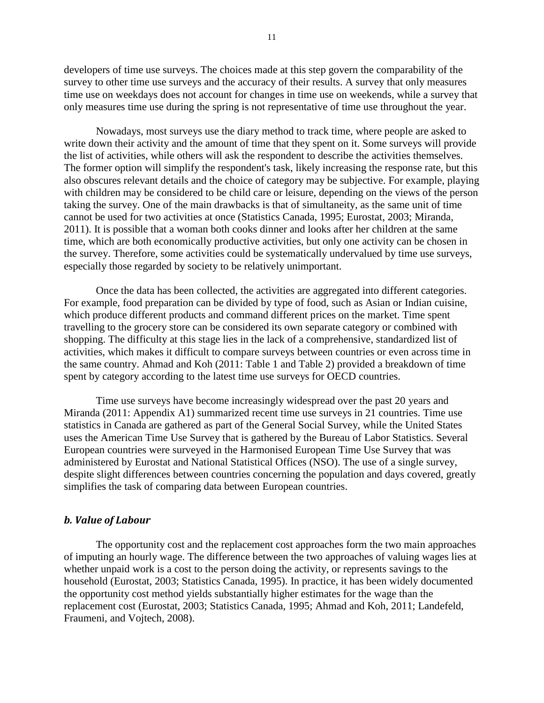developers of time use surveys. The choices made at this step govern the comparability of the survey to other time use surveys and the accuracy of their results. A survey that only measures time use on weekdays does not account for changes in time use on weekends, while a survey that only measures time use during the spring is not representative of time use throughout the year.

Nowadays, most surveys use the diary method to track time, where people are asked to write down their activity and the amount of time that they spent on it. Some surveys will provide the list of activities, while others will ask the respondent to describe the activities themselves. The former option will simplify the respondent's task, likely increasing the response rate, but this also obscures relevant details and the choice of category may be subjective. For example, playing with children may be considered to be child care or leisure, depending on the views of the person taking the survey. One of the main drawbacks is that of simultaneity, as the same unit of time cannot be used for two activities at once (Statistics Canada, 1995; Eurostat, 2003; Miranda, 2011). It is possible that a woman both cooks dinner and looks after her children at the same time, which are both economically productive activities, but only one activity can be chosen in the survey. Therefore, some activities could be systematically undervalued by time use surveys, especially those regarded by society to be relatively unimportant.

Once the data has been collected, the activities are aggregated into different categories. For example, food preparation can be divided by type of food, such as Asian or Indian cuisine, which produce different products and command different prices on the market. Time spent travelling to the grocery store can be considered its own separate category or combined with shopping. The difficulty at this stage lies in the lack of a comprehensive, standardized list of activities, which makes it difficult to compare surveys between countries or even across time in the same country. Ahmad and Koh (2011: Table 1 and Table 2) provided a breakdown of time spent by category according to the latest time use surveys for OECD countries.

Time use surveys have become increasingly widespread over the past 20 years and Miranda (2011: Appendix A1) summarized recent time use surveys in 21 countries. Time use statistics in Canada are gathered as part of the General Social Survey, while the United States uses the American Time Use Survey that is gathered by the Bureau of Labor Statistics. Several European countries were surveyed in the Harmonised European Time Use Survey that was administered by Eurostat and National Statistical Offices (NSO). The use of a single survey, despite slight differences between countries concerning the population and days covered, greatly simplifies the task of comparing data between European countries.

#### *b. Value of Labour*

The opportunity cost and the replacement cost approaches form the two main approaches of imputing an hourly wage. The difference between the two approaches of valuing wages lies at whether unpaid work is a cost to the person doing the activity, or represents savings to the household (Eurostat, 2003; Statistics Canada, 1995). In practice, it has been widely documented the opportunity cost method yields substantially higher estimates for the wage than the replacement cost (Eurostat, 2003; Statistics Canada, 1995; Ahmad and Koh, 2011; Landefeld, Fraumeni, and Vojtech, 2008).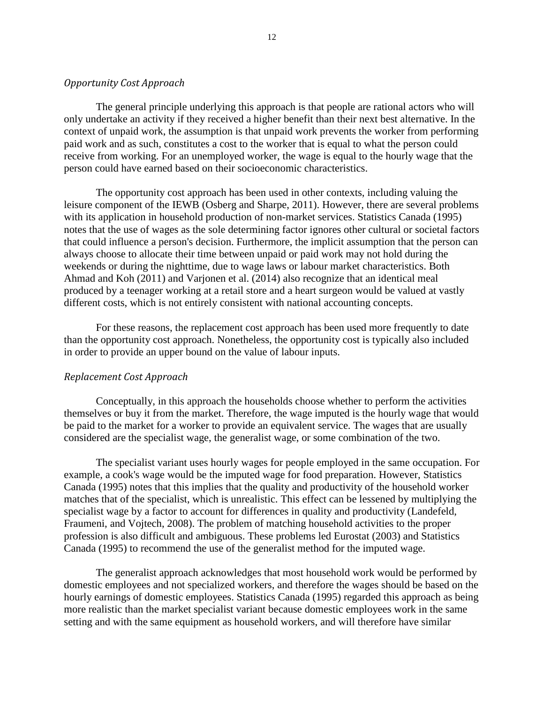#### *Opportunity Cost Approach*

The general principle underlying this approach is that people are rational actors who will only undertake an activity if they received a higher benefit than their next best alternative. In the context of unpaid work, the assumption is that unpaid work prevents the worker from performing paid work and as such, constitutes a cost to the worker that is equal to what the person could receive from working. For an unemployed worker, the wage is equal to the hourly wage that the person could have earned based on their socioeconomic characteristics.

The opportunity cost approach has been used in other contexts, including valuing the leisure component of the IEWB (Osberg and Sharpe, 2011). However, there are several problems with its application in household production of non-market services. Statistics Canada (1995) notes that the use of wages as the sole determining factor ignores other cultural or societal factors that could influence a person's decision. Furthermore, the implicit assumption that the person can always choose to allocate their time between unpaid or paid work may not hold during the weekends or during the nighttime, due to wage laws or labour market characteristics. Both Ahmad and Koh (2011) and Varjonen et al. (2014) also recognize that an identical meal produced by a teenager working at a retail store and a heart surgeon would be valued at vastly different costs, which is not entirely consistent with national accounting concepts.

For these reasons, the replacement cost approach has been used more frequently to date than the opportunity cost approach. Nonetheless, the opportunity cost is typically also included in order to provide an upper bound on the value of labour inputs.

#### *Replacement Cost Approach*

Conceptually, in this approach the households choose whether to perform the activities themselves or buy it from the market. Therefore, the wage imputed is the hourly wage that would be paid to the market for a worker to provide an equivalent service. The wages that are usually considered are the specialist wage, the generalist wage, or some combination of the two.

The specialist variant uses hourly wages for people employed in the same occupation. For example, a cook's wage would be the imputed wage for food preparation. However, Statistics Canada (1995) notes that this implies that the quality and productivity of the household worker matches that of the specialist, which is unrealistic. This effect can be lessened by multiplying the specialist wage by a factor to account for differences in quality and productivity (Landefeld, Fraumeni, and Vojtech, 2008). The problem of matching household activities to the proper profession is also difficult and ambiguous. These problems led Eurostat (2003) and Statistics Canada (1995) to recommend the use of the generalist method for the imputed wage.

The generalist approach acknowledges that most household work would be performed by domestic employees and not specialized workers, and therefore the wages should be based on the hourly earnings of domestic employees. Statistics Canada (1995) regarded this approach as being more realistic than the market specialist variant because domestic employees work in the same setting and with the same equipment as household workers, and will therefore have similar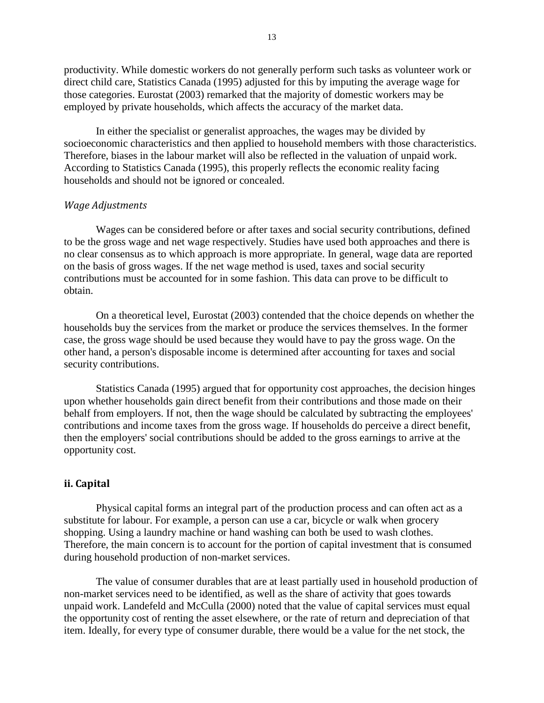productivity. While domestic workers do not generally perform such tasks as volunteer work or direct child care, Statistics Canada (1995) adjusted for this by imputing the average wage for those categories. Eurostat (2003) remarked that the majority of domestic workers may be employed by private households, which affects the accuracy of the market data.

In either the specialist or generalist approaches, the wages may be divided by socioeconomic characteristics and then applied to household members with those characteristics. Therefore, biases in the labour market will also be reflected in the valuation of unpaid work. According to Statistics Canada (1995), this properly reflects the economic reality facing households and should not be ignored or concealed.

#### *Wage Adjustments*

Wages can be considered before or after taxes and social security contributions, defined to be the gross wage and net wage respectively. Studies have used both approaches and there is no clear consensus as to which approach is more appropriate. In general, wage data are reported on the basis of gross wages. If the net wage method is used, taxes and social security contributions must be accounted for in some fashion. This data can prove to be difficult to obtain.

On a theoretical level, Eurostat (2003) contended that the choice depends on whether the households buy the services from the market or produce the services themselves. In the former case, the gross wage should be used because they would have to pay the gross wage. On the other hand, a person's disposable income is determined after accounting for taxes and social security contributions.

Statistics Canada (1995) argued that for opportunity cost approaches, the decision hinges upon whether households gain direct benefit from their contributions and those made on their behalf from employers. If not, then the wage should be calculated by subtracting the employees' contributions and income taxes from the gross wage. If households do perceive a direct benefit, then the employers' social contributions should be added to the gross earnings to arrive at the opportunity cost.

#### <span id="page-12-0"></span>**ii. Capital**

Physical capital forms an integral part of the production process and can often act as a substitute for labour. For example, a person can use a car, bicycle or walk when grocery shopping. Using a laundry machine or hand washing can both be used to wash clothes. Therefore, the main concern is to account for the portion of capital investment that is consumed during household production of non-market services.

The value of consumer durables that are at least partially used in household production of non-market services need to be identified, as well as the share of activity that goes towards unpaid work. Landefeld and McCulla (2000) noted that the value of capital services must equal the opportunity cost of renting the asset elsewhere, or the rate of return and depreciation of that item. Ideally, for every type of consumer durable, there would be a value for the net stock, the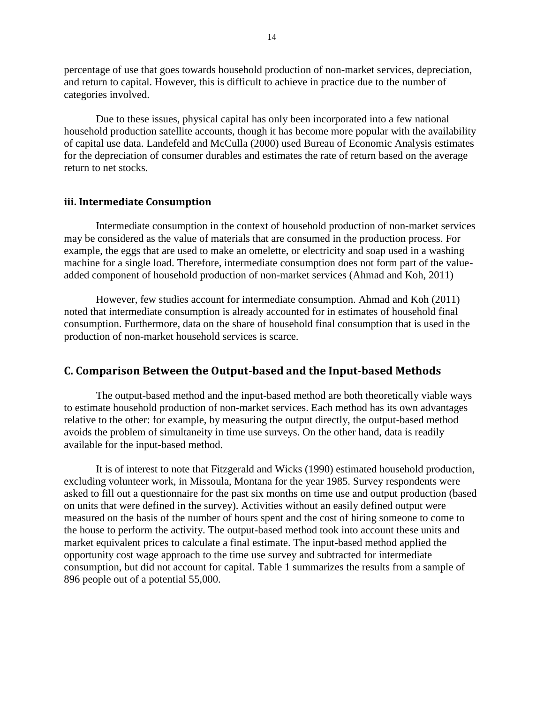percentage of use that goes towards household production of non-market services, depreciation, and return to capital. However, this is difficult to achieve in practice due to the number of categories involved.

Due to these issues, physical capital has only been incorporated into a few national household production satellite accounts, though it has become more popular with the availability of capital use data. Landefeld and McCulla (2000) used Bureau of Economic Analysis estimates for the depreciation of consumer durables and estimates the rate of return based on the average return to net stocks.

#### <span id="page-13-0"></span>**iii. Intermediate Consumption**

Intermediate consumption in the context of household production of non-market services may be considered as the value of materials that are consumed in the production process. For example, the eggs that are used to make an omelette, or electricity and soap used in a washing machine for a single load. Therefore, intermediate consumption does not form part of the valueadded component of household production of non-market services (Ahmad and Koh, 2011)

However, few studies account for intermediate consumption. Ahmad and Koh (2011) noted that intermediate consumption is already accounted for in estimates of household final consumption. Furthermore, data on the share of household final consumption that is used in the production of non-market household services is scarce.

#### <span id="page-13-1"></span>**C. Comparison Between the Output-based and the Input-based Methods**

The output-based method and the input-based method are both theoretically viable ways to estimate household production of non-market services. Each method has its own advantages relative to the other: for example, by measuring the output directly, the output-based method avoids the problem of simultaneity in time use surveys. On the other hand, data is readily available for the input-based method.

It is of interest to note that Fitzgerald and Wicks (1990) estimated household production, excluding volunteer work, in Missoula, Montana for the year 1985. Survey respondents were asked to fill out a questionnaire for the past six months on time use and output production (based on units that were defined in the survey). Activities without an easily defined output were measured on the basis of the number of hours spent and the cost of hiring someone to come to the house to perform the activity. The output-based method took into account these units and market equivalent prices to calculate a final estimate. The input-based method applied the opportunity cost wage approach to the time use survey and subtracted for intermediate consumption, but did not account for capital. [Table 1](#page-14-0) summarizes the results from a sample of 896 people out of a potential 55,000.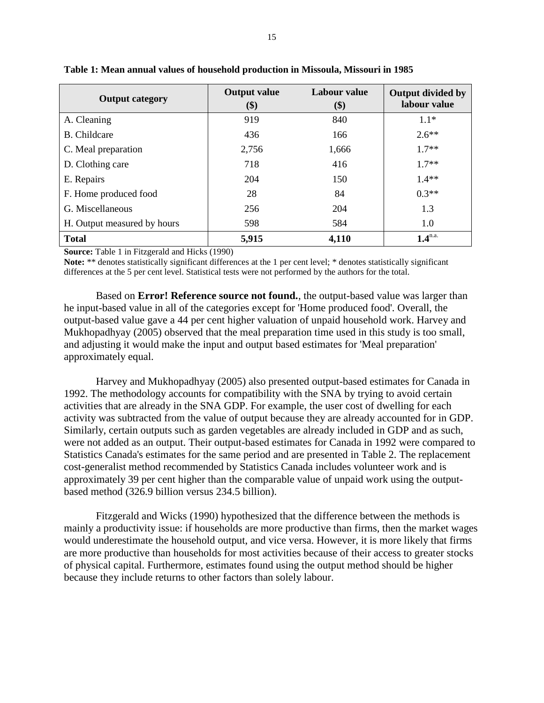| <b>Output category</b>      | <b>Output value</b><br>\$) | Labour value<br>\$) | Output divided by<br>labour value |
|-----------------------------|----------------------------|---------------------|-----------------------------------|
| A. Cleaning                 | 919                        | 840                 | $1.1*$                            |
| B. Childcare                | 436                        | 166                 | $2.6***$                          |
| C. Meal preparation         | 2,756                      | 1,666               | $17**$                            |
| D. Clothing care            | 718                        | 416                 | $17**$                            |
| E. Repairs                  | 204                        | 150                 | $1.4**$                           |
| F. Home produced food       | 28                         | 84                  | $0.3**$                           |
| G. Miscellaneous            | 256                        | 204                 | 1.3                               |
| H. Output measured by hours | 598                        | 584                 | 1.0                               |
| <b>Total</b>                | 5,915                      | 4,110               | $1.4^{n.a.}$                      |

<span id="page-14-0"></span>**Table 1: Mean annual values of household production in Missoula, Missouri in 1985**

**Source:** Table 1 in Fitzgerald and Hicks (1990)

**Note:** \*\* denotes statistically significant differences at the 1 per cent level; \* denotes statistically significant differences at the 5 per cent level. Statistical tests were not performed by the authors for the total.

Based on **Error! Reference source not found.**, the output-based value was larger than he input-based value in all of the categories except for 'Home produced food'. Overall, the output-based value gave a 44 per cent higher valuation of unpaid household work. Harvey and Mukhopadhyay (2005) observed that the meal preparation time used in this study is too small, and adjusting it would make the input and output based estimates for 'Meal preparation' approximately equal.

Harvey and Mukhopadhyay (2005) also presented output-based estimates for Canada in 1992. The methodology accounts for compatibility with the SNA by trying to avoid certain activities that are already in the SNA GDP. For example, the user cost of dwelling for each activity was subtracted from the value of output because they are already accounted for in GDP. Similarly, certain outputs such as garden vegetables are already included in GDP and as such, were not added as an output. Their output-based estimates for Canada in 1992 were compared to Statistics Canada's estimates for the same period and are presented in [Table 2.](#page-15-0) The replacement cost-generalist method recommended by Statistics Canada includes volunteer work and is approximately 39 per cent higher than the comparable value of unpaid work using the outputbased method (326.9 billion versus 234.5 billion).

Fitzgerald and Wicks (1990) hypothesized that the difference between the methods is mainly a productivity issue: if households are more productive than firms, then the market wages would underestimate the household output, and vice versa. However, it is more likely that firms are more productive than households for most activities because of their access to greater stocks of physical capital. Furthermore, estimates found using the output method should be higher because they include returns to other factors than solely labour.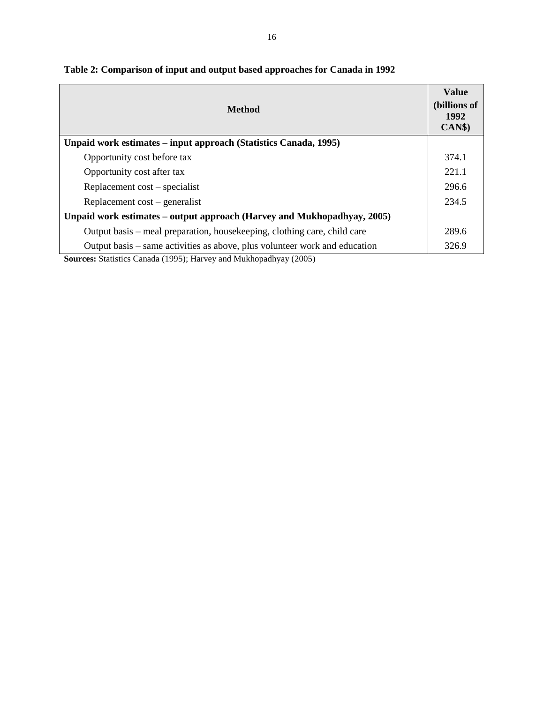| <b>Method</b>                                                                                                                                                                                                                                                                                               | <b>Value</b><br>(billions of<br>1992<br>CAN\$ |
|-------------------------------------------------------------------------------------------------------------------------------------------------------------------------------------------------------------------------------------------------------------------------------------------------------------|-----------------------------------------------|
| Unpaid work estimates – input approach (Statistics Canada, 1995)                                                                                                                                                                                                                                            |                                               |
| Opportunity cost before tax                                                                                                                                                                                                                                                                                 | 374.1                                         |
| Opportunity cost after tax                                                                                                                                                                                                                                                                                  | 221.1                                         |
| Replacement cost – specialist                                                                                                                                                                                                                                                                               | 296.6                                         |
| Replacement cost – generalist                                                                                                                                                                                                                                                                               | 234.5                                         |
| Unpaid work estimates – output approach (Harvey and Mukhopadhyay, 2005)                                                                                                                                                                                                                                     |                                               |
| Output basis – meal preparation, housekeeping, clothing care, child care                                                                                                                                                                                                                                    | 289.6                                         |
| Output basis – same activities as above, plus volunteer work and education<br>$(1)$ $(1)$ $(1)$ $(1)$ $(1)$ $(1)$ $(1)$ $(1)$ $(1)$ $(1)$ $(1)$ $(1)$ $(1)$ $(1)$ $(1)$ $(1)$ $(1)$ $(1)$ $(1)$ $(1)$ $(1)$ $(1)$ $(1)$ $(1)$ $(1)$ $(1)$ $(1)$ $(1)$ $(1)$ $(1)$ $(1)$ $(1)$ $(1)$ $(1)$ $(1)$ $(1)$ $(1)$ | 326.9                                         |

<span id="page-15-0"></span>**Table 2: Comparison of input and output based approaches for Canada in 1992**

**Sources:** Statistics Canada (1995); Harvey and Mukhopadhyay (2005)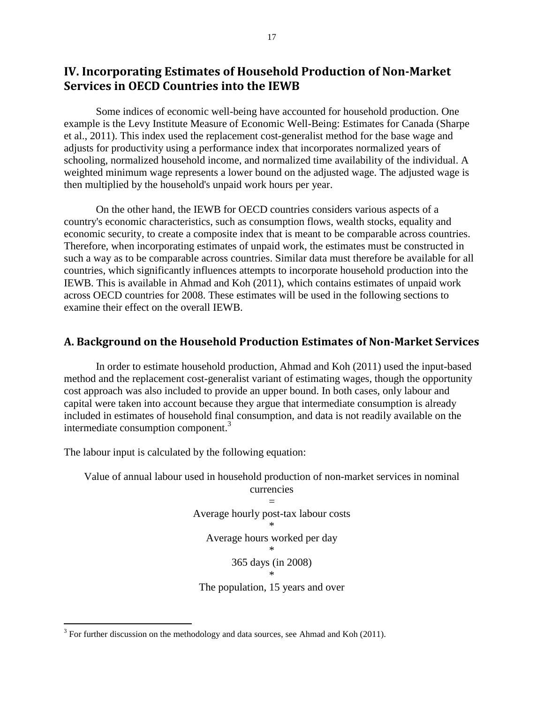# <span id="page-16-0"></span>**IV. Incorporating Estimates of Household Production of Non-Market Services in OECD Countries into the IEWB**

Some indices of economic well-being have accounted for household production. One example is the Levy Institute Measure of Economic Well-Being: Estimates for Canada (Sharpe et al., 2011). This index used the replacement cost-generalist method for the base wage and adjusts for productivity using a performance index that incorporates normalized years of schooling, normalized household income, and normalized time availability of the individual. A weighted minimum wage represents a lower bound on the adjusted wage. The adjusted wage is then multiplied by the household's unpaid work hours per year.

On the other hand, the IEWB for OECD countries considers various aspects of a country's economic characteristics, such as consumption flows, wealth stocks, equality and economic security, to create a composite index that is meant to be comparable across countries. Therefore, when incorporating estimates of unpaid work, the estimates must be constructed in such a way as to be comparable across countries. Similar data must therefore be available for all countries, which significantly influences attempts to incorporate household production into the IEWB. This is available in Ahmad and Koh (2011), which contains estimates of unpaid work across OECD countries for 2008. These estimates will be used in the following sections to examine their effect on the overall IEWB.

### <span id="page-16-1"></span>**A. Background on the Household Production Estimates of Non-Market Services**

In order to estimate household production, Ahmad and Koh (2011) used the input-based method and the replacement cost-generalist variant of estimating wages, though the opportunity cost approach was also included to provide an upper bound. In both cases, only labour and capital were taken into account because they argue that intermediate consumption is already included in estimates of household final consumption, and data is not readily available on the intermediate consumption component.<sup>3</sup>

The labour input is calculated by the following equation:

 $\overline{a}$ 

Value of annual labour used in household production of non-market services in nominal currencies

> = Average hourly post-tax labour costs \* Average hours worked per day \* 365 days (in 2008) \*

The population, 15 years and over

 $3$  For further discussion on the methodology and data sources, see Ahmad and Koh (2011).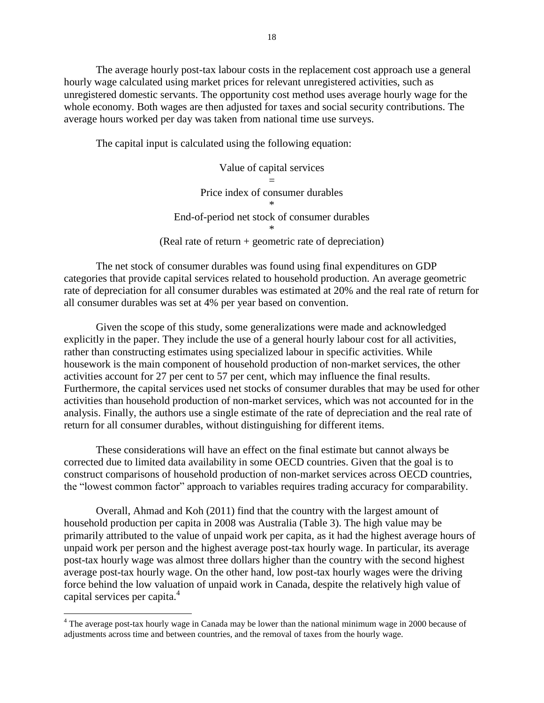The average hourly post-tax labour costs in the replacement cost approach use a general hourly wage calculated using market prices for relevant unregistered activities, such as unregistered domestic servants. The opportunity cost method uses average hourly wage for the whole economy. Both wages are then adjusted for taxes and social security contributions. The average hours worked per day was taken from national time use surveys.

The capital input is calculated using the following equation:

Value of capital services = Price index of consumer durables \* End-of-period net stock of consumer durables \* (Real rate of return + geometric rate of depreciation)

The net stock of consumer durables was found using final expenditures on GDP categories that provide capital services related to household production. An average geometric rate of depreciation for all consumer durables was estimated at 20% and the real rate of return for all consumer durables was set at 4% per year based on convention.

Given the scope of this study, some generalizations were made and acknowledged explicitly in the paper. They include the use of a general hourly labour cost for all activities, rather than constructing estimates using specialized labour in specific activities. While housework is the main component of household production of non-market services, the other activities account for 27 per cent to 57 per cent, which may influence the final results. Furthermore, the capital services used net stocks of consumer durables that may be used for other activities than household production of non-market services, which was not accounted for in the analysis. Finally, the authors use a single estimate of the rate of depreciation and the real rate of return for all consumer durables, without distinguishing for different items.

These considerations will have an effect on the final estimate but cannot always be corrected due to limited data availability in some OECD countries. Given that the goal is to construct comparisons of household production of non-market services across OECD countries, the "lowest common factor" approach to variables requires trading accuracy for comparability.

Overall, Ahmad and Koh (2011) find that the country with the largest amount of household production per capita in 2008 was Australia [\(Table 3\)](#page-18-0). The high value may be primarily attributed to the value of unpaid work per capita, as it had the highest average hours of unpaid work per person and the highest average post-tax hourly wage. In particular, its average post-tax hourly wage was almost three dollars higher than the country with the second highest average post-tax hourly wage. On the other hand, low post-tax hourly wages were the driving force behind the low valuation of unpaid work in Canada, despite the relatively high value of capital services per capita.<sup>4</sup>

 $\overline{a}$ 

<sup>&</sup>lt;sup>4</sup> The average post-tax hourly wage in Canada may be lower than the national minimum wage in 2000 because of adjustments across time and between countries, and the removal of taxes from the hourly wage.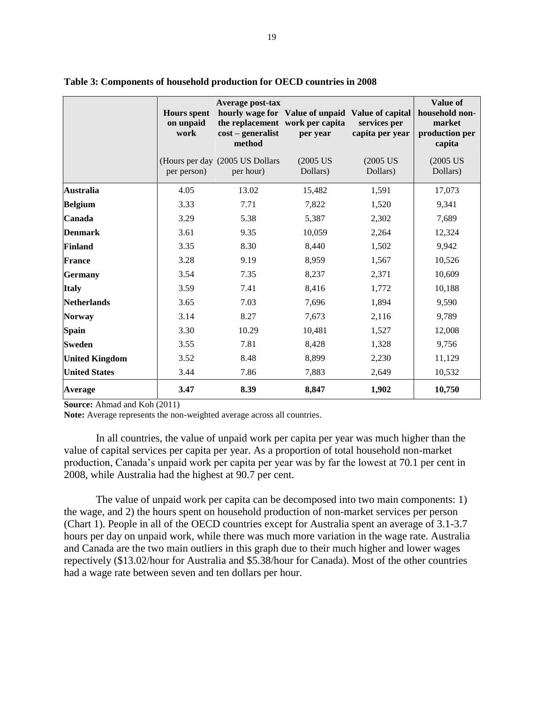|                       | <b>Hours</b> spent<br>on unpaid<br>work | Average post-tax<br>$cost$ – generalist<br>method | hourly wage for Value of unpaid Value of capital<br>the replacement work per capita<br>per year | services per<br>capita per year | <b>Value of</b><br>household non-<br>market<br>production per<br>capita |
|-----------------------|-----------------------------------------|---------------------------------------------------|-------------------------------------------------------------------------------------------------|---------------------------------|-------------------------------------------------------------------------|
|                       | per person)                             | (Hours per day (2005 US Dollars)<br>per hour)     | $(2005$ US<br>Dollars)                                                                          | $(2005$ US<br>Dollars)          | $(2005$ US<br>Dollars)                                                  |
| <b>Australia</b>      | 4.05                                    | 13.02                                             | 15,482                                                                                          | 1,591                           | 17,073                                                                  |
| <b>Belgium</b>        | 3.33                                    | 7.71                                              | 7,822                                                                                           | 1,520                           | 9,341                                                                   |
| Canada                | 3.29                                    | 5.38                                              | 5,387                                                                                           | 2,302                           | 7,689                                                                   |
| <b>Denmark</b>        | 3.61                                    | 9.35                                              | 10,059                                                                                          | 2,264                           | 12,324                                                                  |
| <b>Finland</b>        | 3.35                                    | 8.30                                              | 8,440                                                                                           | 1,502                           | 9,942                                                                   |
| <b>France</b>         | 3.28                                    | 9.19                                              | 8,959                                                                                           | 1,567                           | 10,526                                                                  |
| <b>Germany</b>        | 3.54                                    | 7.35                                              | 8,237                                                                                           | 2,371                           | 10,609                                                                  |
| <b>Italy</b>          | 3.59                                    | 7.41                                              | 8,416                                                                                           | 1,772                           | 10,188                                                                  |
| <b>Netherlands</b>    | 3.65                                    | 7.03                                              | 7,696                                                                                           | 1,894                           | 9,590                                                                   |
| <b>Norway</b>         | 3.14                                    | 8.27                                              | 7,673                                                                                           | 2,116                           | 9,789                                                                   |
| <b>Spain</b>          | 3.30                                    | 10.29                                             | 10,481                                                                                          | 1,527                           | 12,008                                                                  |
| <b>Sweden</b>         | 3.55                                    | 7.81                                              | 8,428                                                                                           | 1,328                           | 9,756                                                                   |
| <b>United Kingdom</b> | 3.52                                    | 8.48                                              | 8,899                                                                                           | 2,230                           | 11,129                                                                  |
| <b>United States</b>  | 3.44                                    | 7.86                                              | 7,883                                                                                           | 2,649                           | 10,532                                                                  |
| <b>Average</b>        | 3.47                                    | 8.39                                              | 8,847                                                                                           | 1,902                           | 10,750                                                                  |

#### <span id="page-18-0"></span>**Table 3: Components of household production for OECD countries in 2008**

**Source:** Ahmad and Koh (2011)

**Note:** Average represents the non-weighted average across all countries.

In all countries, the value of unpaid work per capita per year was much higher than the value of capital services per capita per year. As a proportion of total household non-market production, Canada's unpaid work per capita per year was by far the lowest at 70.1 per cent in 2008, while Australia had the highest at 90.7 per cent.

The value of unpaid work per capita can be decomposed into two main components: 1) the wage, and 2) the hours spent on household production of non-market services per person [\(Chart 1\)](#page-19-1). People in all of the OECD countries except for Australia spent an average of 3.1-3.7 hours per day on unpaid work, while there was much more variation in the wage rate. Australia and Canada are the two main outliers in this graph due to their much higher and lower wages repectively (\$13.02/hour for Australia and \$5.38/hour for Canada). Most of the other countries had a wage rate between seven and ten dollars per hour.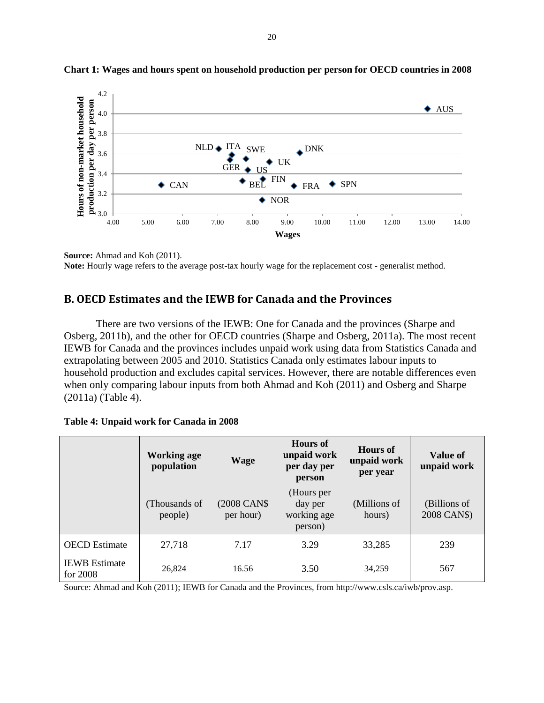

<span id="page-19-1"></span>**Chart 1: Wages and hours spent on household production per person for OECD countries in 2008**

**Source:** Ahmad and Koh (2011). **Note:** Hourly wage refers to the average post-tax hourly wage for the replacement cost - generalist method.

## <span id="page-19-0"></span>**B. OECD Estimates and the IEWB for Canada and the Provinces**

There are two versions of the IEWB: One for Canada and the provinces (Sharpe and Osberg, 2011b), and the other for OECD countries (Sharpe and Osberg, 2011a). The most recent IEWB for Canada and the provinces includes unpaid work using data from Statistics Canada and extrapolating between 2005 and 2010. Statistics Canada only estimates labour inputs to household production and excludes capital services. However, there are notable differences even when only comparing labour inputs from both Ahmad and Koh (2011) and Osberg and Sharpe (2011a) [\(Table 4\)](#page-19-2).

<span id="page-19-2"></span>

|                                    | Working age<br>Wage<br>population |                           | <b>Hours</b> of<br>unpaid work<br>per day per<br>person | <b>Hours</b> of<br>unpaid work<br>per year | Value of<br>unpaid work     |
|------------------------------------|-----------------------------------|---------------------------|---------------------------------------------------------|--------------------------------------------|-----------------------------|
|                                    | (Thousands of<br>people)          | (2008 CAN\$)<br>per hour) | (Hours per<br>day per<br>working age<br>person)         | (Millions of<br>hours)                     | (Billions of<br>2008 CAN\$) |
| <b>OECD</b> Estimate               | 27,718                            | 7.17                      | 3.29                                                    | 33,285                                     | 239                         |
| <b>IEWB</b> Estimate<br>for $2008$ | 26.824                            | 16.56                     | 3.50                                                    | 34,259                                     | 567                         |

Source: Ahmad and Koh (2011); IEWB for Canada and the Provinces, from http://www.csls.ca/iwb/prov.asp.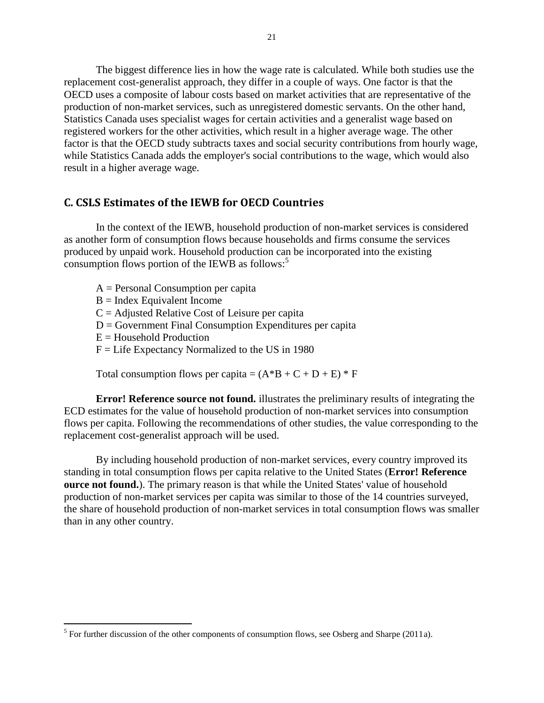The biggest difference lies in how the wage rate is calculated. While both studies use the replacement cost-generalist approach, they differ in a couple of ways. One factor is that the OECD uses a composite of labour costs based on market activities that are representative of the production of non-market services, such as unregistered domestic servants. On the other hand, Statistics Canada uses specialist wages for certain activities and a generalist wage based on registered workers for the other activities, which result in a higher average wage. The other factor is that the OECD study subtracts taxes and social security contributions from hourly wage, while Statistics Canada adds the employer's social contributions to the wage, which would also result in a higher average wage.

#### <span id="page-20-0"></span>**C. CSLS Estimates of the IEWB for OECD Countries**

In the context of the IEWB, household production of non-market services is considered as another form of consumption flows because households and firms consume the services produced by unpaid work. Household production can be incorporated into the existing consumption flows portion of the IEWB as follows:<sup>5</sup>

A = Personal Consumption per capita  $B = Index$  Equivalent Income  $C =$  Adjusted Relative Cost of Leisure per capita  $D = G$ overnment Final Consumption Expenditures per capita  $E =$  Household Production  $F =$  Life Expectancy Normalized to the US in 1980

Total consumption flows per capita =  $(A*B + C + D + E)*F$ 

**Error! Reference source not found.** illustrates the preliminary results of integrating the ECD estimates for the value of household production of non-market services into consumption flows per capita. Following the recommendations of other studies, the value corresponding to the replacement cost-generalist approach will be used.

By including household production of non-market services, every country improved its standing in total consumption flows per capita relative to the United States (**Error! Reference ource not found.**). The primary reason is that while the United States' value of household production of non-market services per capita was similar to those of the 14 countries surveyed, the share of household production of non-market services in total consumption flows was smaller than in any other country.

 $\overline{a}$ 

<sup>&</sup>lt;sup>5</sup> For further discussion of the other components of consumption flows, see Osberg and Sharpe (2011a).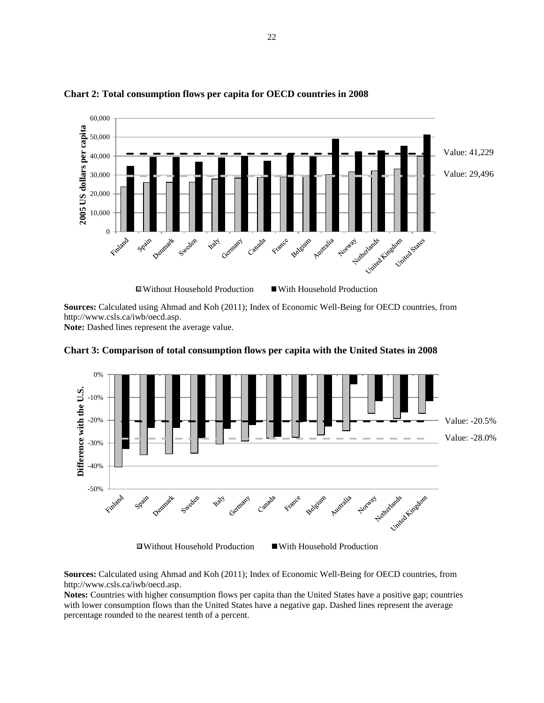

#### <span id="page-21-0"></span>**Chart 2: Total consumption flows per capita for OECD countries in 2008**

**Sources:** Calculated using Ahmad and Koh (2011); Index of Economic Well-Being for OECD countries, from http://www.csls.ca/iwb/oecd.asp.

**Note:** Dashed lines represent the average value.



<span id="page-21-1"></span>**Chart 3: Comparison of total consumption flows per capita with the United States in 2008**

**Sources:** Calculated using Ahmad and Koh (2011); Index of Economic Well-Being for OECD countries, from http://www.csls.ca/iwb/oecd.asp.

**Notes:** Countries with higher consumption flows per capita than the United States have a positive gap; countries with lower consumption flows than the United States have a negative gap. Dashed lines represent the average percentage rounded to the nearest tenth of a percent.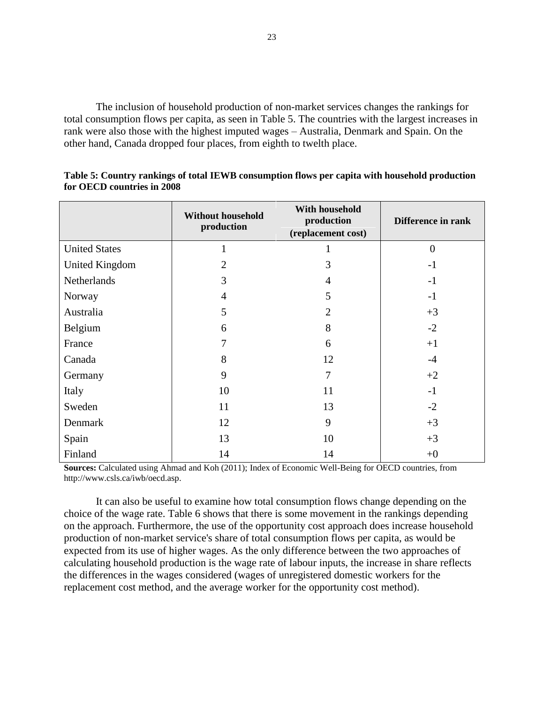The inclusion of household production of non-market services changes the rankings for total consumption flows per capita, as seen in [Table 5.](#page-22-0) The countries with the largest increases in rank were also those with the highest imputed wages – Australia, Denmark and Spain. On the other hand, Canada dropped four places, from eighth to twelth place.

|                       | <b>Without household</b><br>production | With household<br>production<br>(replacement cost) | Difference in rank |
|-----------------------|----------------------------------------|----------------------------------------------------|--------------------|
| <b>United States</b>  |                                        |                                                    | $\overline{0}$     |
| <b>United Kingdom</b> | $\overline{2}$                         | 3                                                  | $-1$               |
| Netherlands           | 3                                      | 4                                                  | $-1$               |
| Norway                | $\overline{4}$                         | 5                                                  | $-1$               |
| Australia             | 5                                      | $\overline{2}$                                     | $+3$               |
| Belgium               | 6                                      | 8                                                  | $-2$               |
| France                | 7                                      | 6                                                  | $+1$               |
| Canada                | 8                                      | 12                                                 | $-4$               |
| Germany               | 9                                      | 7                                                  | $+2$               |
| Italy                 | 10                                     | 11                                                 | $-1$               |
| Sweden                | 11                                     | 13                                                 | $-2$               |
| Denmark               | 12                                     | 9                                                  | $+3$               |
| Spain                 | 13                                     | 10                                                 | $+3$               |
| Finland               | 14                                     | 14                                                 | $+0$               |

<span id="page-22-0"></span>**Table 5: Country rankings of total IEWB consumption flows per capita with household production for OECD countries in 2008**

**Sources:** Calculated using Ahmad and Koh (2011); Index of Economic Well-Being for OECD countries, from http://www.csls.ca/iwb/oecd.asp.

It can also be useful to examine how total consumption flows change depending on the choice of the wage rate. [Table 6](#page-23-0) shows that there is some movement in the rankings depending on the approach. Furthermore, the use of the opportunity cost approach does increase household production of non-market service's share of total consumption flows per capita, as would be expected from its use of higher wages. As the only difference between the two approaches of calculating household production is the wage rate of labour inputs, the increase in share reflects the differences in the wages considered (wages of unregistered domestic workers for the replacement cost method, and the average worker for the opportunity cost method).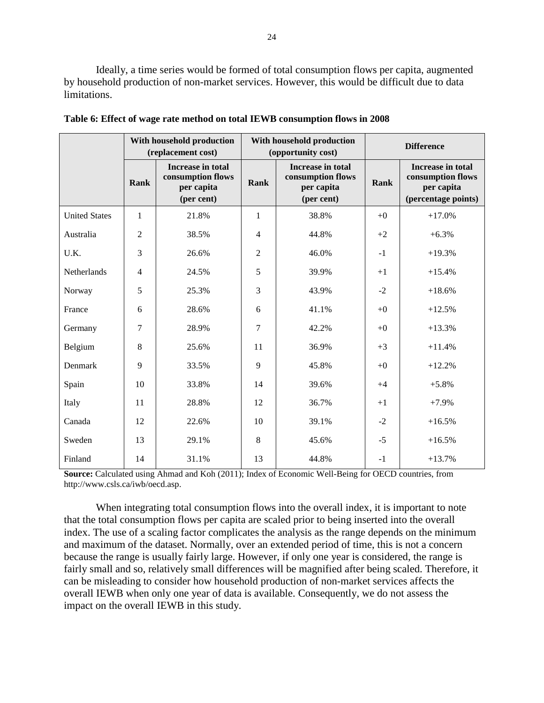Ideally, a time series would be formed of total consumption flows per capita, augmented by household production of non-market services. However, this would be difficult due to data limitations.

|                      |                | With household production<br>(replacement cost)                    |                | With household production<br>(opportunity cost)                           | <b>Difference</b> |                                                                             |  |
|----------------------|----------------|--------------------------------------------------------------------|----------------|---------------------------------------------------------------------------|-------------------|-----------------------------------------------------------------------------|--|
|                      | Rank           | Increase in total<br>consumption flows<br>per capita<br>(per cent) | Rank           | <b>Increase in total</b><br>consumption flows<br>per capita<br>(per cent) | Rank              | Increase in total<br>consumption flows<br>per capita<br>(percentage points) |  |
| <b>United States</b> | 1              | 21.8%                                                              | 1              | 38.8%                                                                     | $+0$              | $+17.0%$                                                                    |  |
| Australia            | $\overline{2}$ | 38.5%                                                              | $\overline{4}$ | 44.8%                                                                     | $+2$              | $+6.3%$                                                                     |  |
| U.K.                 | 3              | 26.6%                                                              | $\overline{2}$ | 46.0%                                                                     | $-1$              | $+19.3%$                                                                    |  |
| Netherlands          | $\overline{4}$ | 24.5%                                                              | 5              | 39.9%                                                                     | $+1$              | $+15.4%$                                                                    |  |
| Norway               | 5              | 25.3%                                                              | 3              | 43.9%                                                                     | $-2$              | $+18.6%$                                                                    |  |
| France               | 6              | 28.6%                                                              | 6              | 41.1%                                                                     | $+0$              | $+12.5%$                                                                    |  |
| Germany              | 7              | 28.9%                                                              | 7              | 42.2%                                                                     | $+0$              | $+13.3%$                                                                    |  |
| Belgium              | $\,8\,$        | 25.6%                                                              | 11             | 36.9%                                                                     | $+3$              | $+11.4%$                                                                    |  |
| Denmark              | 9              | 33.5%                                                              | 9              | 45.8%                                                                     | $+0$              | $+12.2%$                                                                    |  |
| Spain                | 10             | 33.8%                                                              | 14             | 39.6%                                                                     | $+4$              | $+5.8%$                                                                     |  |
| Italy                | 11             | 28.8%                                                              | 12             | 36.7%                                                                     | $+1$              | $+7.9%$                                                                     |  |
| Canada               | 12             | 22.6%                                                              | 10             | 39.1%                                                                     | $-2$              | $+16.5%$                                                                    |  |
| Sweden               | 13             | 29.1%                                                              | 8              | 45.6%                                                                     | $-5$              | $+16.5%$                                                                    |  |
| Finland              | 14             | 31.1%                                                              | 13             | 44.8%                                                                     | $-1$              | $+13.7%$                                                                    |  |

<span id="page-23-0"></span>**Table 6: Effect of wage rate method on total IEWB consumption flows in 2008**

**Source:** Calculated using Ahmad and Koh (2011); Index of Economic Well-Being for OECD countries, from http://www.csls.ca/iwb/oecd.asp.

When integrating total consumption flows into the overall index, it is important to note that the total consumption flows per capita are scaled prior to being inserted into the overall index. The use of a scaling factor complicates the analysis as the range depends on the minimum and maximum of the dataset. Normally, over an extended period of time, this is not a concern because the range is usually fairly large. However, if only one year is considered, the range is fairly small and so, relatively small differences will be magnified after being scaled. Therefore, it can be misleading to consider how household production of non-market services affects the overall IEWB when only one year of data is available. Consequently, we do not assess the impact on the overall IEWB in this study.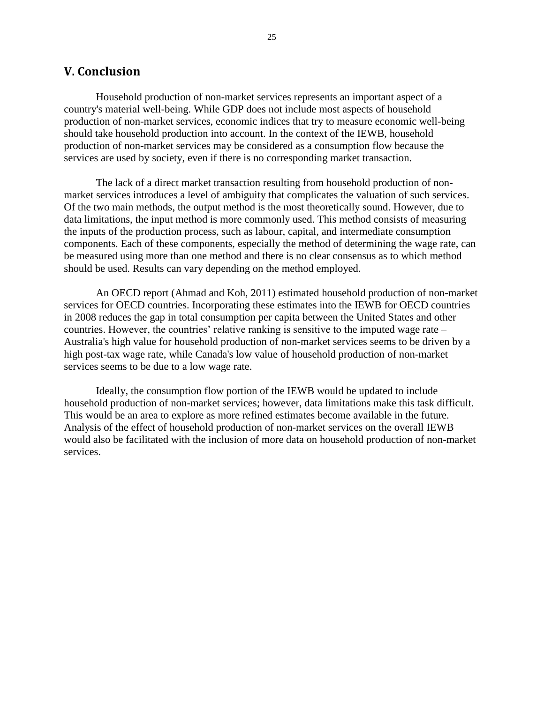### <span id="page-24-0"></span>**V. Conclusion**

Household production of non-market services represents an important aspect of a country's material well-being. While GDP does not include most aspects of household production of non-market services, economic indices that try to measure economic well-being should take household production into account. In the context of the IEWB, household production of non-market services may be considered as a consumption flow because the services are used by society, even if there is no corresponding market transaction.

The lack of a direct market transaction resulting from household production of nonmarket services introduces a level of ambiguity that complicates the valuation of such services. Of the two main methods, the output method is the most theoretically sound. However, due to data limitations, the input method is more commonly used. This method consists of measuring the inputs of the production process, such as labour, capital, and intermediate consumption components. Each of these components, especially the method of determining the wage rate, can be measured using more than one method and there is no clear consensus as to which method should be used. Results can vary depending on the method employed.

An OECD report (Ahmad and Koh, 2011) estimated household production of non-market services for OECD countries. Incorporating these estimates into the IEWB for OECD countries in 2008 reduces the gap in total consumption per capita between the United States and other countries. However, the countries' relative ranking is sensitive to the imputed wage rate – Australia's high value for household production of non-market services seems to be driven by a high post-tax wage rate, while Canada's low value of household production of non-market services seems to be due to a low wage rate.

Ideally, the consumption flow portion of the IEWB would be updated to include household production of non-market services; however, data limitations make this task difficult. This would be an area to explore as more refined estimates become available in the future. Analysis of the effect of household production of non-market services on the overall IEWB would also be facilitated with the inclusion of more data on household production of non-market services.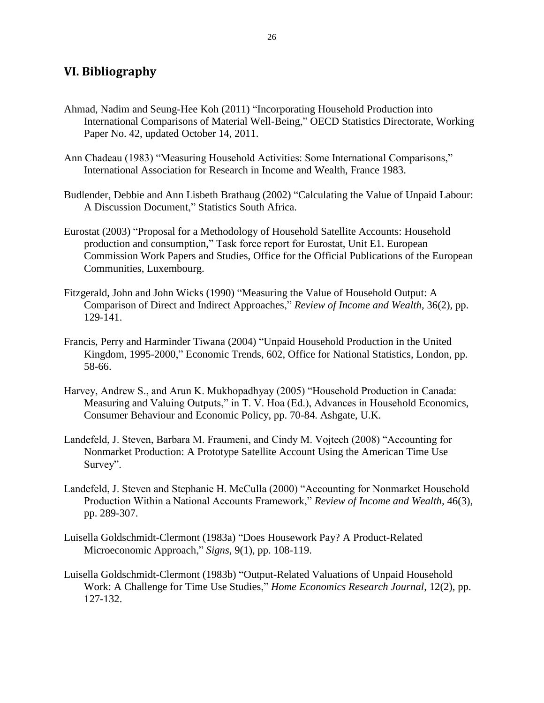## <span id="page-25-0"></span>**VI. Bibliography**

- Ahmad, Nadim and Seung-Hee Koh (2011) "Incorporating Household Production into International Comparisons of Material Well-Being," OECD Statistics Directorate, Working Paper No. 42, updated October 14, 2011.
- Ann Chadeau (1983) "Measuring Household Activities: Some International Comparisons," International Association for Research in Income and Wealth, France 1983.
- Budlender, Debbie and Ann Lisbeth Brathaug (2002) "Calculating the Value of Unpaid Labour: A Discussion Document," Statistics South Africa.
- Eurostat (2003) "Proposal for a Methodology of Household Satellite Accounts: Household production and consumption," Task force report for Eurostat, Unit E1. European Commission Work Papers and Studies, Office for the Official Publications of the European Communities, Luxembourg.
- Fitzgerald, John and John Wicks (1990) "Measuring the Value of Household Output: A Comparison of Direct and Indirect Approaches," *Review of Income and Wealth*, 36(2), pp. 129-141.
- Francis, Perry and Harminder Tiwana (2004) "Unpaid Household Production in the United Kingdom, 1995-2000," Economic Trends, 602, Office for National Statistics, London, pp. 58-66.
- Harvey, Andrew S., and Arun K. Mukhopadhyay (2005) "Household Production in Canada: Measuring and Valuing Outputs," in T. V. Hoa (Ed.), Advances in Household Economics, Consumer Behaviour and Economic Policy, pp. 70-84. Ashgate, U.K.
- Landefeld, J. Steven, Barbara M. Fraumeni, and Cindy M. Vojtech (2008) "Accounting for Nonmarket Production: A Prototype Satellite Account Using the American Time Use Survey".
- Landefeld, J. Steven and Stephanie H. McCulla (2000) "Accounting for Nonmarket Household Production Within a National Accounts Framework," *Review of Income and Wealth*, 46(3), pp. 289-307.
- Luisella Goldschmidt-Clermont (1983a) "Does Housework Pay? A Product-Related Microeconomic Approach," *Signs*, 9(1), pp. 108-119.
- Luisella Goldschmidt-Clermont (1983b) "Output-Related Valuations of Unpaid Household Work: A Challenge for Time Use Studies," *Home Economics Research Journal*, 12(2), pp. 127-132.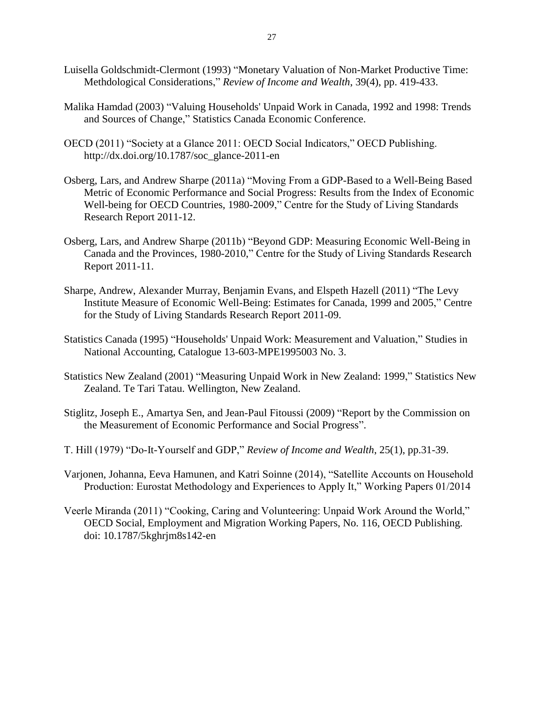- Luisella Goldschmidt-Clermont (1993) "Monetary Valuation of Non-Market Productive Time: Methdological Considerations," *Review of Income and Wealth*, 39(4), pp. 419-433.
- Malika Hamdad (2003) "Valuing Households' Unpaid Work in Canada, 1992 and 1998: Trends and Sources of Change," Statistics Canada Economic Conference.
- OECD (2011) "Society at a Glance 2011: OECD Social Indicators," OECD Publishing. http://dx.doi.org/10.1787/soc\_glance-2011-en
- Osberg, Lars, and Andrew Sharpe (2011a) "Moving From a GDP-Based to a Well-Being Based Metric of Economic Performance and Social Progress: Results from the Index of Economic Well-being for OECD Countries, 1980-2009," Centre for the Study of Living Standards Research Report 2011-12.
- Osberg, Lars, and Andrew Sharpe (2011b) "Beyond GDP: Measuring Economic Well-Being in Canada and the Provinces, 1980-2010," Centre for the Study of Living Standards Research Report 2011-11.
- Sharpe, Andrew, Alexander Murray, Benjamin Evans, and Elspeth Hazell (2011) "The Levy Institute Measure of Economic Well-Being: Estimates for Canada, 1999 and 2005," Centre for the Study of Living Standards Research Report 2011-09.
- Statistics Canada (1995) "Households' Unpaid Work: Measurement and Valuation," Studies in National Accounting, Catalogue 13-603-MPE1995003 No. 3.
- Statistics New Zealand (2001) "Measuring Unpaid Work in New Zealand: 1999," Statistics New Zealand. Te Tari Tatau. Wellington, New Zealand.
- Stiglitz, Joseph E., Amartya Sen, and Jean-Paul Fitoussi (2009) "Report by the Commission on the Measurement of Economic Performance and Social Progress".
- T. Hill (1979) "Do-It-Yourself and GDP," *Review of Income and Wealth*, 25(1), pp.31-39.
- Varjonen, Johanna, Eeva Hamunen, and Katri Soinne (2014), "Satellite Accounts on Household Production: Eurostat Methodology and Experiences to Apply It," Working Papers 01/2014
- Veerle Miranda (2011) "Cooking, Caring and Volunteering: Unpaid Work Around the World," OECD Social, Employment and Migration Working Papers, No. 116, OECD Publishing. doi: 10.1787/5kghrjm8s142-en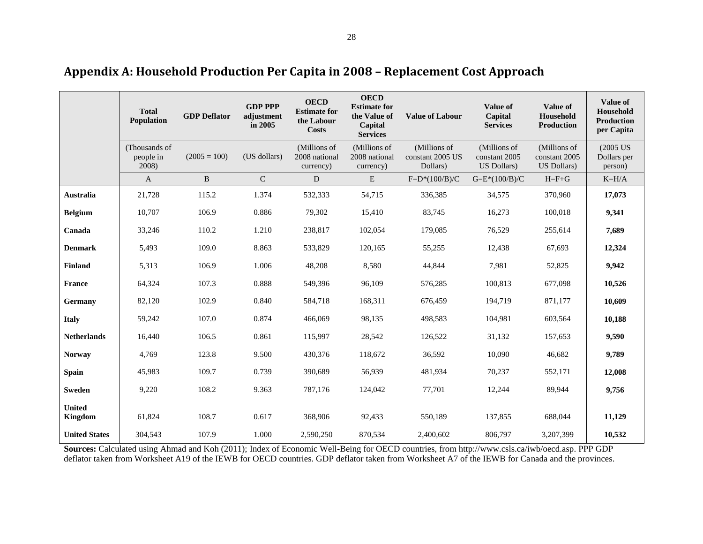<span id="page-27-0"></span>

|                          | <b>Total</b><br>Population          | <b>GDP</b> Deflator | <b>GDP PPP</b><br>adjustment<br>in 2005 | <b>OECD</b><br><b>Estimate for</b><br>the Labour<br><b>Costs</b> | <b>OECD</b><br><b>Estimate for</b><br>the Value of<br>Capital<br><b>Services</b> | <b>Value of Labour</b>                       | Value of<br>Capital<br><b>Services</b>       | Value of<br>Household<br><b>Production</b>   | <b>Value of</b><br>Household<br><b>Production</b><br>per Capita |
|--------------------------|-------------------------------------|---------------------|-----------------------------------------|------------------------------------------------------------------|----------------------------------------------------------------------------------|----------------------------------------------|----------------------------------------------|----------------------------------------------|-----------------------------------------------------------------|
|                          | (Thousands of<br>people in<br>2008) | $(2005 = 100)$      | (US dollars)                            | (Millions of<br>2008 national<br>currency)                       | (Millions of<br>2008 national<br>currency)                                       | (Millions of<br>constant 2005 US<br>Dollars) | (Millions of<br>constant 2005<br>US Dollars) | (Millions of<br>constant 2005<br>US Dollars) | $(2005$ US<br>Dollars per<br>person)                            |
|                          | $\mathbf{A}$                        | B                   | $\mathsf C$                             | ${\bf D}$                                                        | ${\bf E}$                                                                        | $F=D*(100/B)/C$                              | $G=E*(100/B)/C$                              | $H = F + G$                                  | $K=H/A$                                                         |
| Australia                | 21,728                              | 115.2               | 1.374                                   | 532,333                                                          | 54,715                                                                           | 336,385                                      | 34,575                                       | 370,960                                      | 17,073                                                          |
| <b>Belgium</b>           | 10,707                              | 106.9               | 0.886                                   | 79,302                                                           | 15,410                                                                           | 83,745                                       | 16,273                                       | 100,018                                      | 9,341                                                           |
| Canada                   | 33,246                              | 110.2               | 1.210                                   | 238,817                                                          | 102,054                                                                          | 179,085                                      | 76,529                                       | 255,614                                      | 7,689                                                           |
| <b>Denmark</b>           | 5,493                               | 109.0               | 8.863                                   | 533,829                                                          | 120,165                                                                          | 55,255                                       | 12,438                                       | 67,693                                       | 12,324                                                          |
| Finland                  | 5,313                               | 106.9               | 1.006                                   | 48,208                                                           | 8,580                                                                            | 44,844                                       | 7,981                                        | 52,825                                       | 9,942                                                           |
| <b>France</b>            | 64,324                              | 107.3               | 0.888                                   | 549,396                                                          | 96,109                                                                           | 576,285                                      | 100,813                                      | 677,098                                      | 10,526                                                          |
| Germany                  | 82,120                              | 102.9               | 0.840                                   | 584,718                                                          | 168,311                                                                          | 676,459                                      | 194,719                                      | 871,177                                      | 10,609                                                          |
| <b>Italy</b>             | 59,242                              | 107.0               | 0.874                                   | 466,069                                                          | 98,135                                                                           | 498,583                                      | 104,981                                      | 603,564                                      | 10,188                                                          |
| <b>Netherlands</b>       | 16,440                              | 106.5               | 0.861                                   | 115,997                                                          | 28,542                                                                           | 126,522                                      | 31,132                                       | 157,653                                      | 9,590                                                           |
| <b>Norway</b>            | 4,769                               | 123.8               | 9.500                                   | 430,376                                                          | 118,672                                                                          | 36,592                                       | 10,090                                       | 46,682                                       | 9,789                                                           |
| <b>Spain</b>             | 45,983                              | 109.7               | 0.739                                   | 390,689                                                          | 56,939                                                                           | 481,934                                      | 70,237                                       | 552,171                                      | 12,008                                                          |
| <b>Sweden</b>            | 9,220                               | 108.2               | 9.363                                   | 787,176                                                          | 124,042                                                                          | 77,701                                       | 12,244                                       | 89,944                                       | 9,756                                                           |
| <b>United</b><br>Kingdom | 61,824                              | 108.7               | 0.617                                   | 368,906                                                          | 92,433                                                                           | 550,189                                      | 137,855                                      | 688,044                                      | 11,129                                                          |
| <b>United States</b>     | 304,543                             | 107.9               | 1.000                                   | 2,590,250                                                        | 870,534                                                                          | 2,400,602                                    | 806,797                                      | 3,207,399                                    | 10,532                                                          |

**Appendix A: Household Production Per Capita in 2008 – Replacement Cost Approach**

**Sources:** Calculated using Ahmad and Koh (2011); Index of Economic Well-Being for OECD countries, from http://www.csls.ca/iwb/oecd.asp. PPP GDP deflator taken from Worksheet A19 of the IEWB for OECD countries. GDP deflator taken from Worksheet A7 of the IEWB for Canada and the provinces.